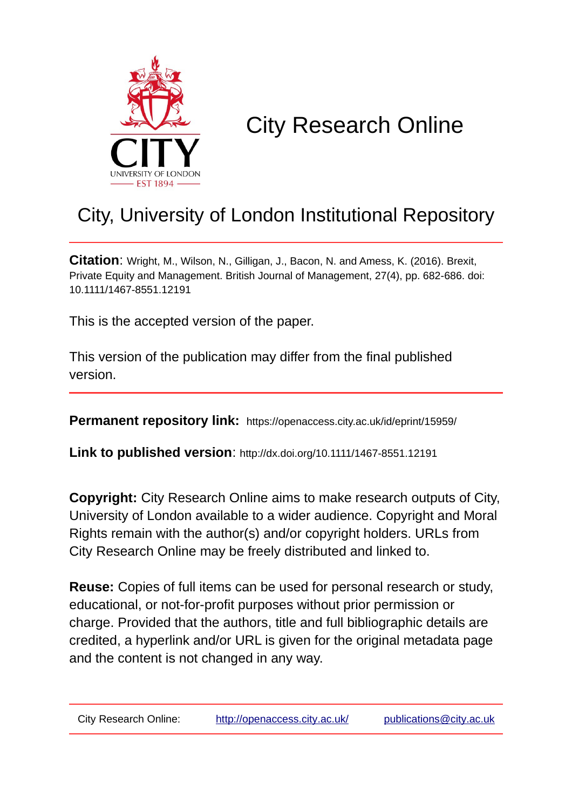

# City Research Online

## City, University of London Institutional Repository

**Citation**: Wright, M., Wilson, N., Gilligan, J., Bacon, N. and Amess, K. (2016). Brexit, Private Equity and Management. British Journal of Management, 27(4), pp. 682-686. doi: 10.1111/1467-8551.12191

This is the accepted version of the paper.

This version of the publication may differ from the final published version.

**Permanent repository link:** https://openaccess.city.ac.uk/id/eprint/15959/

**Link to published version**: http://dx.doi.org/10.1111/1467-8551.12191

**Copyright:** City Research Online aims to make research outputs of City, University of London available to a wider audience. Copyright and Moral Rights remain with the author(s) and/or copyright holders. URLs from City Research Online may be freely distributed and linked to.

**Reuse:** Copies of full items can be used for personal research or study, educational, or not-for-profit purposes without prior permission or charge. Provided that the authors, title and full bibliographic details are credited, a hyperlink and/or URL is given for the original metadata page and the content is not changed in any way.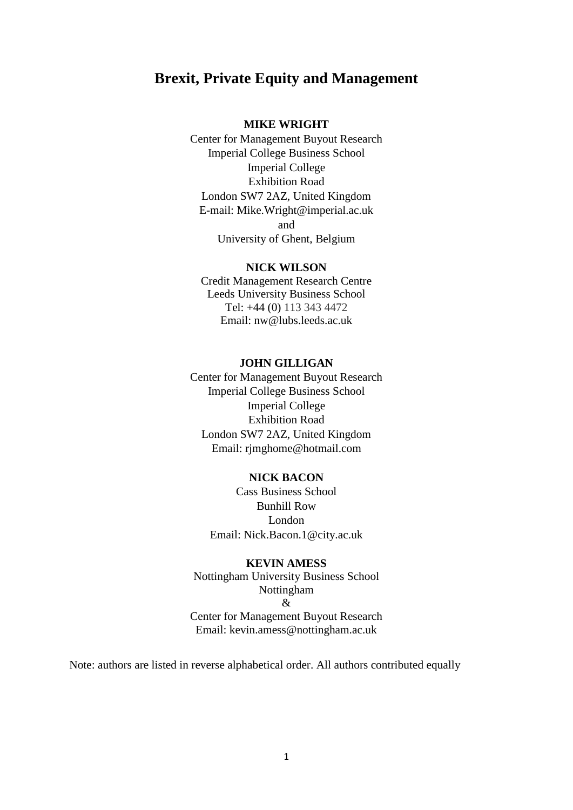## **Brexit, Private Equity and Management**

#### **MIKE WRIGHT**

Center for Management Buyout Research Imperial College Business School Imperial College Exhibition Road London SW7 2AZ, United Kingdom E-mail: [Mike.Wright@imperial.ac.uk](mailto:Mike.Wright@imperial.ac.uk) and University of Ghent, Belgium

#### **NICK WILSON**

Credit Management Research Centre Leeds University Business School Tel: +44 (0) 113 343 4472 Email: nw@lubs.leeds.ac.uk

#### **JOHN GILLIGAN**

Center for Management Buyout Research Imperial College Business School Imperial College Exhibition Road London SW7 2AZ, United Kingdom Email: rjmghome@hotmail.com

#### **NICK BACON**

Cass Business School Bunhill Row London Email: Nick.Bacon.1@city.ac.uk

#### **KEVIN AMESS**

Nottingham University Business School Nottingham  $\mathcal{R}$ Center for Management Buyout Research Email: [kevin.amess@nottingham.ac.uk](mailto:kevin.amess@nottingham.ac.uk)

Note: authors are listed in reverse alphabetical order. All authors contributed equally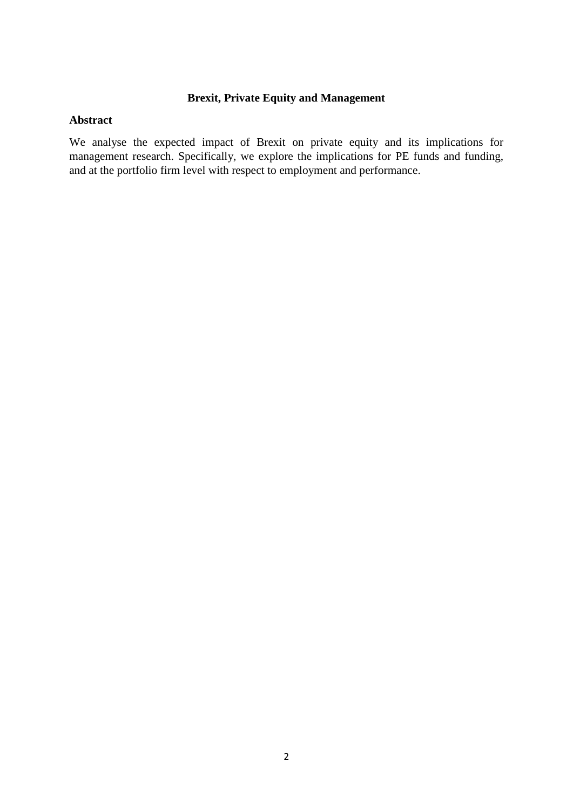### **Brexit, Private Equity and Management**

#### **Abstract**

We analyse the expected impact of Brexit on private equity and its implications for management research. Specifically, we explore the implications for PE funds and funding, and at the portfolio firm level with respect to employment and performance.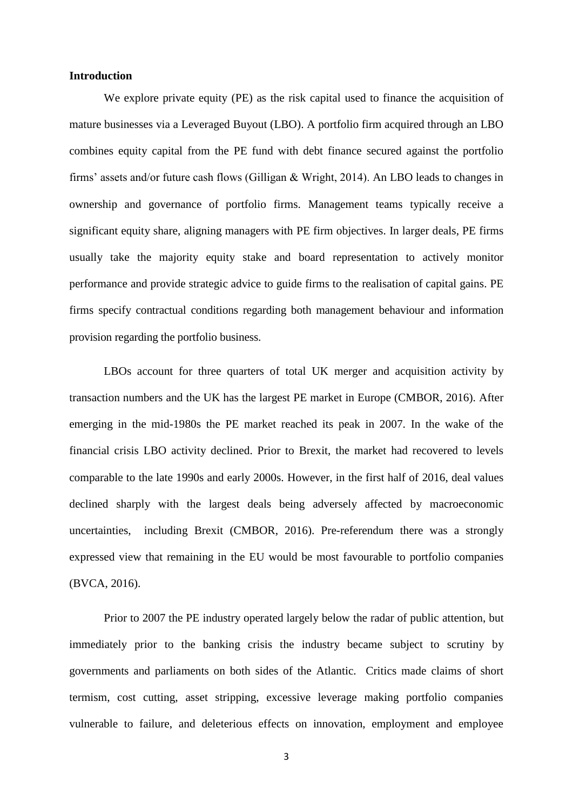#### **Introduction**

We explore private equity (PE) as the risk capital used to finance the acquisition of mature businesses via a Leveraged Buyout (LBO). A portfolio firm acquired through an LBO combines equity capital from the PE fund with debt finance secured against the portfolio firms' assets and/or future cash flows (Gilligan & Wright, 2014). An LBO leads to changes in ownership and governance of portfolio firms. Management teams typically receive a significant equity share, aligning managers with PE firm objectives. In larger deals, PE firms usually take the majority equity stake and board representation to actively monitor performance and provide strategic advice to guide firms to the realisation of capital gains. PE firms specify contractual conditions regarding both management behaviour and information provision regarding the portfolio business.

LBOs account for three quarters of total UK merger and acquisition activity by transaction numbers and the UK has the largest PE market in Europe (CMBOR, 2016). After emerging in the mid-1980s the PE market reached its peak in 2007. In the wake of the financial crisis LBO activity declined. Prior to Brexit, the market had recovered to levels comparable to the late 1990s and early 2000s. However, in the first half of 2016, deal values declined sharply with the largest deals being adversely affected by macroeconomic uncertainties, including Brexit (CMBOR, 2016). Pre-referendum there was a strongly expressed view that remaining in the EU would be most favourable to portfolio companies (BVCA, 2016).

Prior to 2007 the PE industry operated largely below the radar of public attention, but immediately prior to the banking crisis the industry became subject to scrutiny by governments and parliaments on both sides of the Atlantic. Critics made claims of short termism, cost cutting, asset stripping, excessive leverage making portfolio companies vulnerable to failure, and deleterious effects on innovation, employment and employee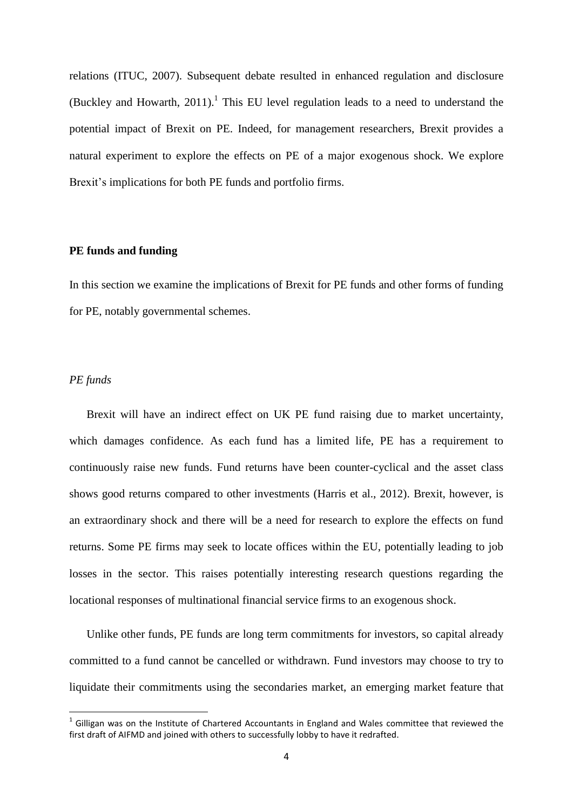relations (ITUC, 2007). Subsequent debate resulted in enhanced regulation and disclosure (Buckley and Howarth,  $2011$ ).<sup>1</sup> This EU level regulation leads to a need to understand the potential impact of Brexit on PE. Indeed, for management researchers, Brexit provides a natural experiment to explore the effects on PE of a major exogenous shock. We explore Brexit's implications for both PE funds and portfolio firms.

#### **PE funds and funding**

In this section we examine the implications of Brexit for PE funds and other forms of funding for PE, notably governmental schemes.

#### *PE funds*

**.** 

Brexit will have an indirect effect on UK PE fund raising due to market uncertainty, which damages confidence. As each fund has a limited life, PE has a requirement to continuously raise new funds. Fund returns have been counter-cyclical and the asset class shows good returns compared to other investments (Harris et al., 2012). Brexit, however, is an extraordinary shock and there will be a need for research to explore the effects on fund returns. Some PE firms may seek to locate offices within the EU, potentially leading to job losses in the sector. This raises potentially interesting research questions regarding the locational responses of multinational financial service firms to an exogenous shock.

Unlike other funds, PE funds are long term commitments for investors, so capital already committed to a fund cannot be cancelled or withdrawn. Fund investors may choose to try to liquidate their commitments using the secondaries market, an emerging market feature that

 $<sup>1</sup>$  Gilligan was on the Institute of Chartered Accountants in England and Wales committee that reviewed the</sup> first draft of AIFMD and joined with others to successfully lobby to have it redrafted.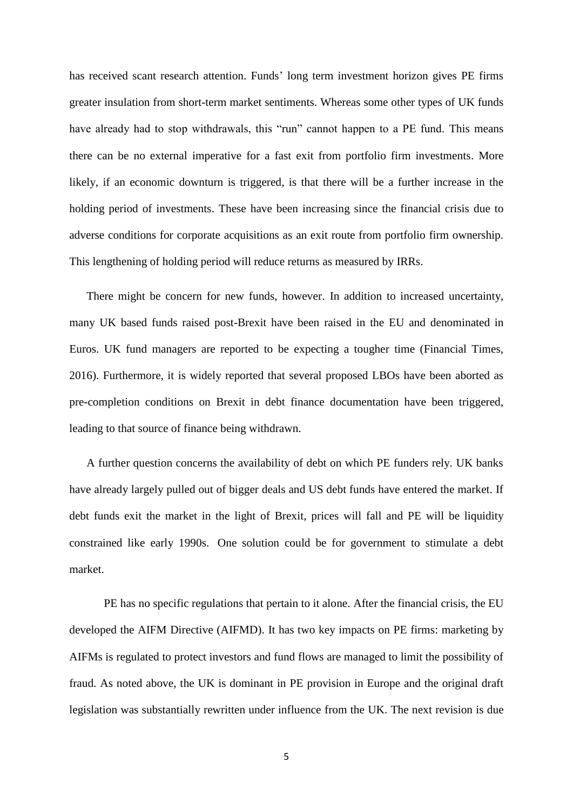has received scant research attention. Funds' long term investment horizon gives PE firms greater insulation from short-term market sentiments. Whereas some other types of UK funds have already had to stop withdrawals, this "run" cannot happen to a PE fund. This means there can be no external imperative for a fast exit from portfolio firm investments. More likely, if an economic downturn is triggered, is that there will be a further increase in the holding period of investments. These have been increasing since the financial crisis due to adverse conditions for corporate acquisitions as an exit route from portfolio firm ownership. This lengthening of holding period will reduce returns as measured by IRRs.

There might be concern for new funds, however. In addition to increased uncertainty, many UK based funds raised post-Brexit have been raised in the EU and denominated in Euros. UK fund managers are reported to be expecting a tougher time (Financial Times, 2016). Furthermore, it is widely reported that several proposed LBOs have been aborted as pre-completion conditions on Brexit in debt finance documentation have been triggered, leading to that source of finance being withdrawn.

A further question concerns the availability of debt on which PE funders rely. UK banks have already largely pulled out of bigger deals and US debt funds have entered the market. If debt funds exit the market in the light of Brexit, prices will fall and PE will be liquidity constrained like early 1990s. One solution could be for government to stimulate a debt market.

PE has no specific regulations that pertain to it alone. After the financial crisis, the EU developed the AIFM Directive (AIFMD). It has two key impacts on PE firms: marketing by AIFMs is regulated to protect investors and fund flows are managed to limit the possibility of fraud. As noted above, the UK is dominant in PE provision in Europe and the original draft legislation was substantially rewritten under influence from the UK. The next revision is due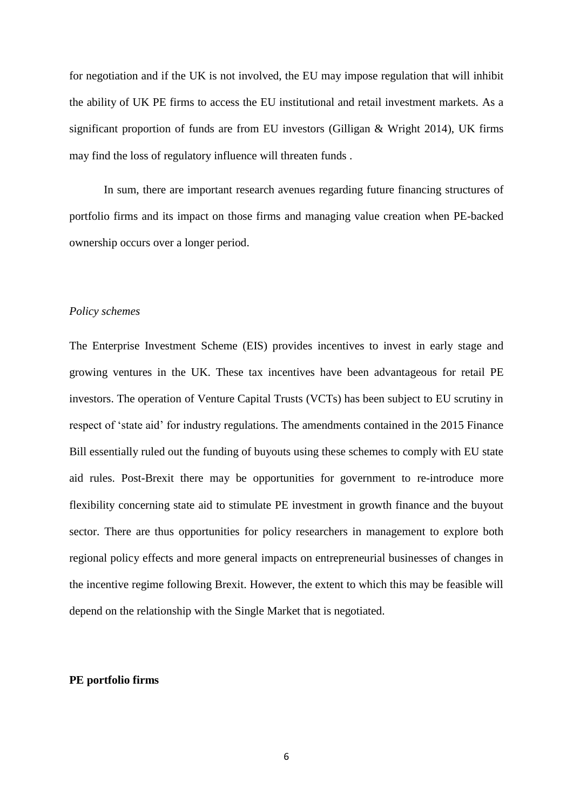for negotiation and if the UK is not involved, the EU may impose regulation that will inhibit the ability of UK PE firms to access the EU institutional and retail investment markets. As a significant proportion of funds are from EU investors (Gilligan & Wright 2014), UK firms may find the loss of regulatory influence will threaten funds .

In sum, there are important research avenues regarding future financing structures of portfolio firms and its impact on those firms and managing value creation when PE-backed ownership occurs over a longer period.

#### *Policy schemes*

The Enterprise Investment Scheme (EIS) provides incentives to invest in early stage and growing ventures in the UK. These tax incentives have been advantageous for retail PE investors. The operation of Venture Capital Trusts (VCTs) has been subject to EU scrutiny in respect of 'state aid' for industry regulations. The amendments contained in the 2015 Finance Bill essentially ruled out the funding of buyouts using these schemes to comply with EU state aid rules. Post-Brexit there may be opportunities for government to re-introduce more flexibility concerning state aid to stimulate PE investment in growth finance and the buyout sector. There are thus opportunities for policy researchers in management to explore both regional policy effects and more general impacts on entrepreneurial businesses of changes in the incentive regime following Brexit. However, the extent to which this may be feasible will depend on the relationship with the Single Market that is negotiated.

#### **PE portfolio firms**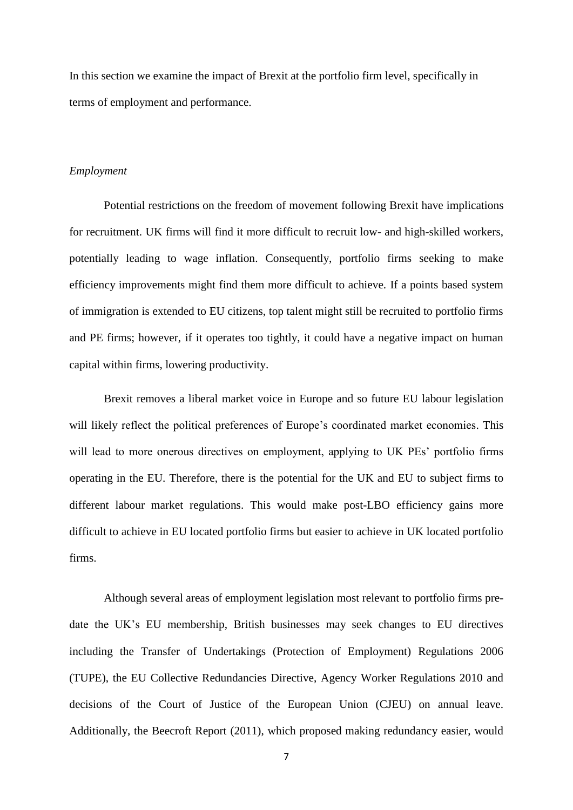In this section we examine the impact of Brexit at the portfolio firm level, specifically in terms of employment and performance.

#### *Employment*

Potential restrictions on the freedom of movement following Brexit have implications for recruitment. UK firms will find it more difficult to recruit low- and high-skilled workers, potentially leading to wage inflation. Consequently, portfolio firms seeking to make efficiency improvements might find them more difficult to achieve. If a points based system of immigration is extended to EU citizens, top talent might still be recruited to portfolio firms and PE firms; however, if it operates too tightly, it could have a negative impact on human capital within firms, lowering productivity.

Brexit removes a liberal market voice in Europe and so future EU labour legislation will likely reflect the political preferences of Europe's coordinated market economies. This will lead to more onerous directives on employment, applying to UK PEs' portfolio firms operating in the EU. Therefore, there is the potential for the UK and EU to subject firms to different labour market regulations. This would make post-LBO efficiency gains more difficult to achieve in EU located portfolio firms but easier to achieve in UK located portfolio firms.

Although several areas of employment legislation most relevant to portfolio firms predate the UK's EU membership, British businesses may seek changes to EU directives including the Transfer of Undertakings (Protection of Employment) Regulations 2006 (TUPE), the EU Collective Redundancies Directive, Agency Worker Regulations 2010 and decisions of the Court of Justice of the European Union (CJEU) on annual leave. Additionally, the Beecroft Report (2011), which proposed making redundancy easier, would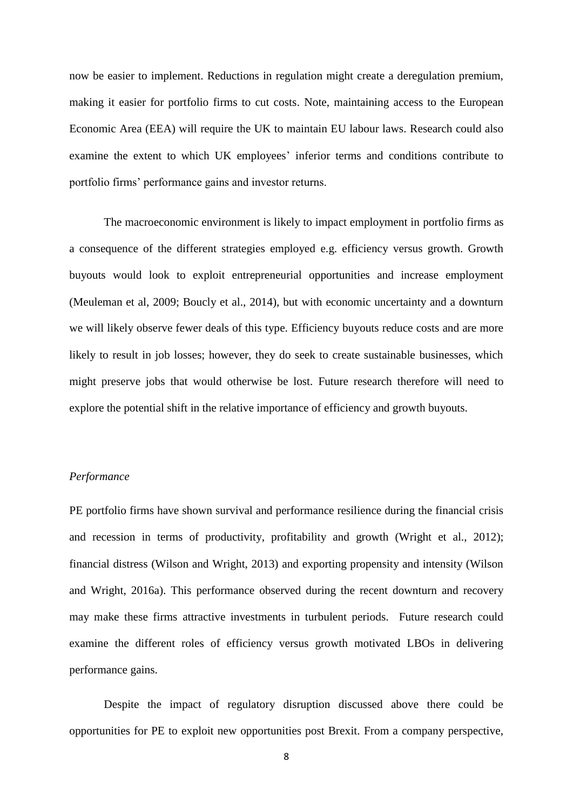now be easier to implement. Reductions in regulation might create a deregulation premium, making it easier for portfolio firms to cut costs. Note, maintaining access to the European Economic Area (EEA) will require the UK to maintain EU labour laws. Research could also examine the extent to which UK employees' inferior terms and conditions contribute to portfolio firms' performance gains and investor returns.

The macroeconomic environment is likely to impact employment in portfolio firms as a consequence of the different strategies employed e.g. efficiency versus growth. Growth buyouts would look to exploit entrepreneurial opportunities and increase employment (Meuleman et al, 2009; Boucly et al., 2014), but with economic uncertainty and a downturn we will likely observe fewer deals of this type. Efficiency buyouts reduce costs and are more likely to result in job losses; however, they do seek to create sustainable businesses, which might preserve jobs that would otherwise be lost. Future research therefore will need to explore the potential shift in the relative importance of efficiency and growth buyouts.

#### *Performance*

PE portfolio firms have shown survival and performance resilience during the financial crisis and recession in terms of productivity, profitability and growth (Wright et al., 2012); financial distress (Wilson and Wright, 2013) and exporting propensity and intensity (Wilson and Wright, 2016a). This performance observed during the recent downturn and recovery may make these firms attractive investments in turbulent periods. Future research could examine the different roles of efficiency versus growth motivated LBOs in delivering performance gains.

Despite the impact of regulatory disruption discussed above there could be opportunities for PE to exploit new opportunities post Brexit. From a company perspective,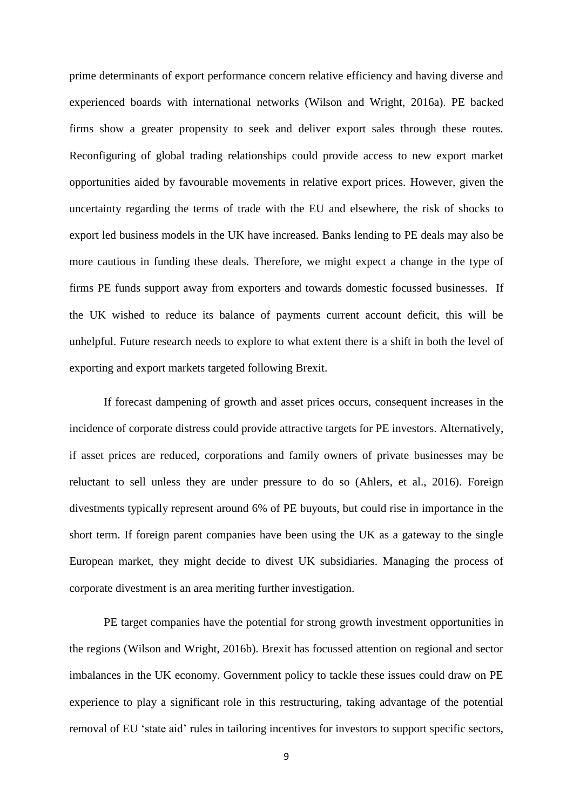prime determinants of export performance concern relative efficiency and having diverse and experienced boards with international networks (Wilson and Wright, 2016a). PE backed firms show a greater propensity to seek and deliver export sales through these routes. Reconfiguring of global trading relationships could provide access to new export market opportunities aided by favourable movements in relative export prices. However, given the uncertainty regarding the terms of trade with the EU and elsewhere, the risk of shocks to export led business models in the UK have increased. Banks lending to PE deals may also be more cautious in funding these deals. Therefore, we might expect a change in the type of firms PE funds support away from exporters and towards domestic focussed businesses. If the UK wished to reduce its balance of payments current account deficit, this will be unhelpful. Future research needs to explore to what extent there is a shift in both the level of exporting and export markets targeted following Brexit.

If forecast dampening of growth and asset prices occurs, consequent increases in the incidence of corporate distress could provide attractive targets for PE investors. Alternatively, if asset prices are reduced, corporations and family owners of private businesses may be reluctant to sell unless they are under pressure to do so (Ahlers, et al., 2016). Foreign divestments typically represent around 6% of PE buyouts, but could rise in importance in the short term. If foreign parent companies have been using the UK as a gateway to the single European market, they might decide to divest UK subsidiaries. Managing the process of corporate divestment is an area meriting further investigation.

PE target companies have the potential for strong growth investment opportunities in the regions (Wilson and Wright, 2016b). Brexit has focussed attention on regional and sector imbalances in the UK economy. Government policy to tackle these issues could draw on PE experience to play a significant role in this restructuring, taking advantage of the potential removal of EU 'state aid' rules in tailoring incentives for investors to support specific sectors,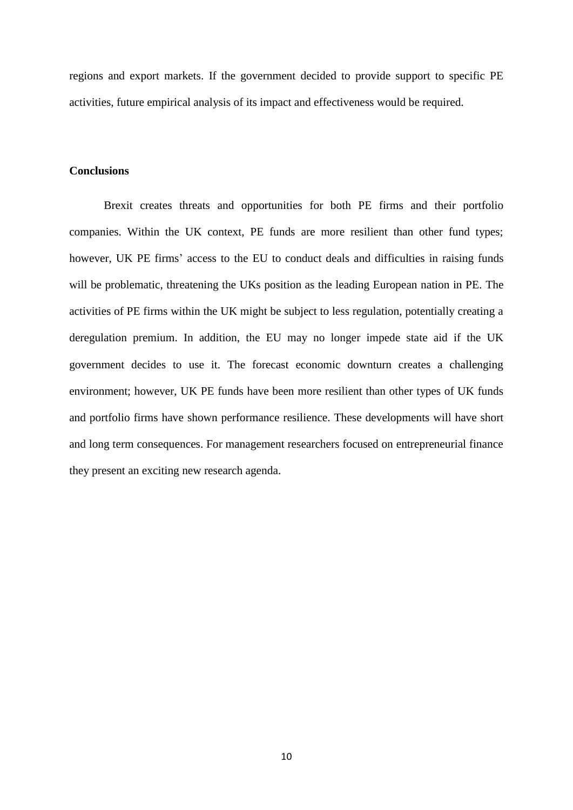regions and export markets. If the government decided to provide support to specific PE activities, future empirical analysis of its impact and effectiveness would be required.

#### **Conclusions**

Brexit creates threats and opportunities for both PE firms and their portfolio companies. Within the UK context, PE funds are more resilient than other fund types; however, UK PE firms' access to the EU to conduct deals and difficulties in raising funds will be problematic, threatening the UKs position as the leading European nation in PE. The activities of PE firms within the UK might be subject to less regulation, potentially creating a deregulation premium. In addition, the EU may no longer impede state aid if the UK government decides to use it. The forecast economic downturn creates a challenging environment; however, UK PE funds have been more resilient than other types of UK funds and portfolio firms have shown performance resilience. These developments will have short and long term consequences. For management researchers focused on entrepreneurial finance they present an exciting new research agenda.